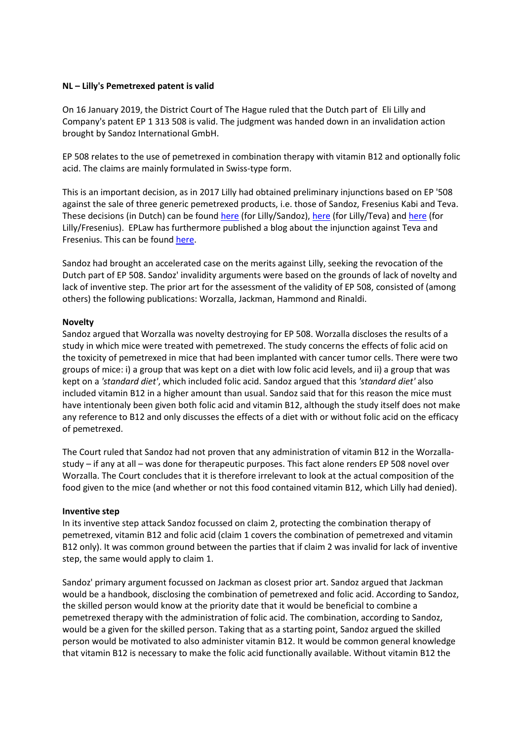## **NL – Lilly's Pemetrexed patent is valid**

On 16 January 2019, the District Court of The Hague ruled that the Dutch part of Eli Lilly and Company's patent EP 1 313 508 is valid. The judgment was handed down in an invalidation action brought by Sandoz International GmbH.

EP 508 relates to the use of pemetrexed in combination therapy with vitamin B12 and optionally folic acid. The claims are mainly formulated in Swiss-type form.

This is an important decision, as in 2017 Lilly had obtained preliminary injunctions based on EP '508 against the sale of three generic pemetrexed products, i.e. those of Sandoz, Fresenius Kabi and Teva. These decisions (in Dutch) can be found [here](http://deeplink.rechtspraak.nl/uitspraak?id=ECLI:NL:RBDHA:2017:12045) (for Lilly/Sandoz), here (for Lilly/Teva) an[d here](http://deeplink.rechtspraak.nl/uitspraak?id=ECLI:NL:RBDHA:2017:12046) (for Lilly/Fresenius). EPLaw has furthermore published a blog about the injunction against Teva and Fresenius. This can be found [here.](http://eplaw.org/elilillyfresniusteva/)

Sandoz had brought an accelerated case on the merits against Lilly, seeking the revocation of the Dutch part of EP 508. Sandoz' invalidity arguments were based on the grounds of lack of novelty and lack of inventive step. The prior art for the assessment of the validity of EP 508, consisted of (among others) the following publications: Worzalla, Jackman, Hammond and Rinaldi.

## **Novelty**

Sandoz argued that Worzalla was novelty destroying for EP 508. Worzalla discloses the results of a study in which mice were treated with pemetrexed. The study concerns the effects of folic acid on the toxicity of pemetrexed in mice that had been implanted with cancer tumor cells. There were two groups of mice: i) a group that was kept on a diet with low folic acid levels, and ii) a group that was kept on a *'standard diet'*, which included folic acid. Sandoz argued that this *'standard diet'* also included vitamin B12 in a higher amount than usual. Sandoz said that for this reason the mice must have intentionaly been given both folic acid and vitamin B12, although the study itself does not make any reference to B12 and only discusses the effects of a diet with or without folic acid on the efficacy of pemetrexed.

The Court ruled that Sandoz had not proven that any administration of vitamin B12 in the Worzallastudy – if any at all – was done for therapeutic purposes. This fact alone renders EP 508 novel over Worzalla. The Court concludes that it is therefore irrelevant to look at the actual composition of the food given to the mice (and whether or not this food contained vitamin B12, which Lilly had denied).

## **Inventive step**

In its inventive step attack Sandoz focussed on claim 2, protecting the combination therapy of pemetrexed, vitamin B12 and folic acid (claim 1 covers the combination of pemetrexed and vitamin B12 only). It was common ground between the parties that if claim 2 was invalid for lack of inventive step, the same would apply to claim 1.

Sandoz' primary argument focussed on Jackman as closest prior art. Sandoz argued that Jackman would be a handbook, disclosing the combination of pemetrexed and folic acid. According to Sandoz, the skilled person would know at the priority date that it would be beneficial to combine a pemetrexed therapy with the administration of folic acid. The combination, according to Sandoz, would be a given for the skilled person. Taking that as a starting point, Sandoz argued the skilled person would be motivated to also administer vitamin B12. It would be common general knowledge that vitamin B12 is necessary to make the folic acid functionally available. Without vitamin B12 the